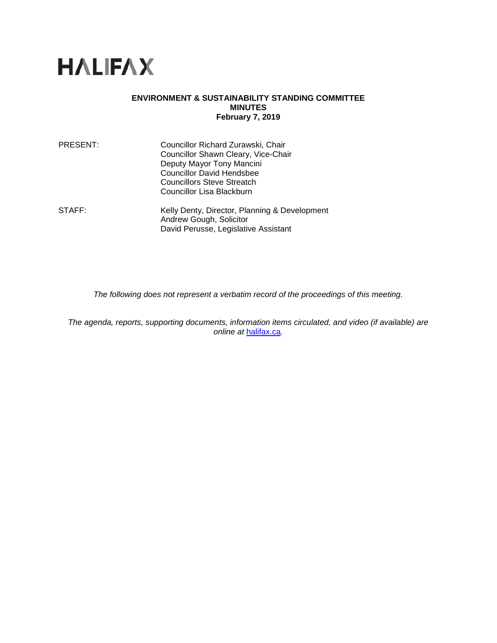

#### **ENVIRONMENT & SUSTAINABILITY STANDING COMMITTEE MINUTES February 7, 2019**

| PRESENT: | Councillor Richard Zurawski, Chair<br>Councillor Shawn Cleary, Vice-Chair<br>Deputy Mayor Tony Mancini<br><b>Councillor David Hendsbee</b><br><b>Councillors Steve Streatch</b><br><b>Councillor Lisa Blackburn</b> |
|----------|---------------------------------------------------------------------------------------------------------------------------------------------------------------------------------------------------------------------|
| STAFF:   | Kelly Denty, Director, Planning & Development<br>Andrew Gough, Solicitor<br>David Perusse, Legislative Assistant                                                                                                    |

*The following does not represent a verbatim record of the proceedings of this meeting.*

*The agenda, reports, supporting documents, information items circulated, and video (if available) are online at* [halifax.ca](http://www.halifax.ca/)*.*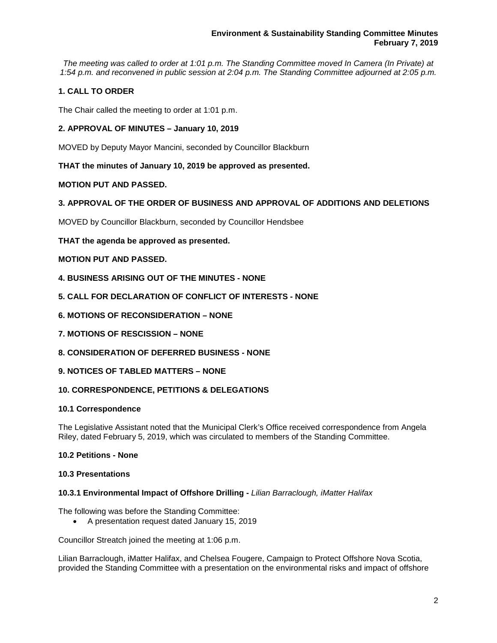*The meeting was called to order at 1:01 p.m. The Standing Committee moved In Camera (In Private) at 1:54 p.m. and reconvened in public session at 2:04 p.m. The Standing Committee adjourned at 2:05 p.m.*

# **1. CALL TO ORDER**

The Chair called the meeting to order at 1:01 p.m.

## **2. APPROVAL OF MINUTES – January 10, 2019**

MOVED by Deputy Mayor Mancini, seconded by Councillor Blackburn

## **THAT the minutes of January 10, 2019 be approved as presented.**

## **MOTION PUT AND PASSED.**

## **3. APPROVAL OF THE ORDER OF BUSINESS AND APPROVAL OF ADDITIONS AND DELETIONS**

MOVED by Councillor Blackburn, seconded by Councillor Hendsbee

**THAT the agenda be approved as presented.**

## **MOTION PUT AND PASSED.**

- **4. BUSINESS ARISING OUT OF THE MINUTES - NONE**
- **5. CALL FOR DECLARATION OF CONFLICT OF INTERESTS - NONE**
- **6. MOTIONS OF RECONSIDERATION – NONE**
- **7. MOTIONS OF RESCISSION – NONE**
- **8. CONSIDERATION OF DEFERRED BUSINESS - NONE**
- **9. NOTICES OF TABLED MATTERS – NONE**

## **10. CORRESPONDENCE, PETITIONS & DELEGATIONS**

## **10.1 Correspondence**

The Legislative Assistant noted that the Municipal Clerk's Office received correspondence from Angela Riley, dated February 5, 2019, which was circulated to members of the Standing Committee.

## **10.2 Petitions - None**

## **10.3 Presentations**

## **10.3.1 Environmental Impact of Offshore Drilling -** *Lilian Barraclough, iMatter Halifax*

The following was before the Standing Committee:

• A presentation request dated January 15, 2019

Councillor Streatch joined the meeting at 1:06 p.m.

Lilian Barraclough, iMatter Halifax, and Chelsea Fougere, Campaign to Protect Offshore Nova Scotia, provided the Standing Committee with a presentation on the environmental risks and impact of offshore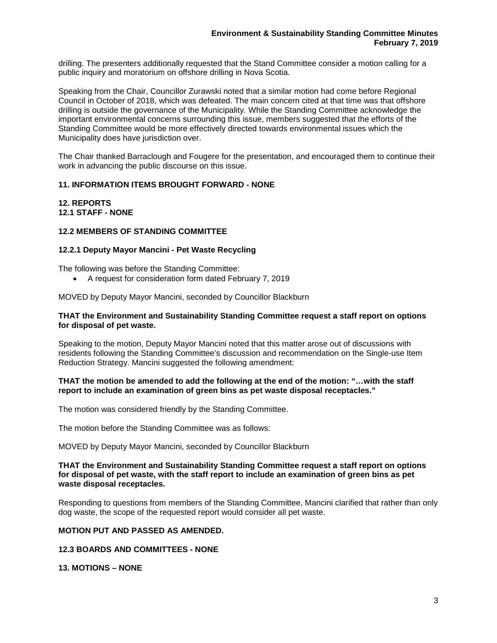drilling. The presenters additionally requested that the Stand Committee consider a motion calling for a public inquiry and moratorium on offshore drilling in Nova Scotia.

Speaking from the Chair, Councillor Zurawski noted that a similar motion had come before Regional Council in October of 2018, which was defeated. The main concern cited at that time was that offshore drilling is outside the governance of the Municipality. While the Standing Committee acknowledge the important environmental concerns surrounding this issue, members suggested that the efforts of the Standing Committee would be more effectively directed towards environmental issues which the Municipality does have jurisdiction over.

The Chair thanked Barraclough and Fougere for the presentation, and encouraged them to continue their work in advancing the public discourse on this issue.

## **11. INFORMATION ITEMS BROUGHT FORWARD - NONE**

### **12. REPORTS 12.1 STAFF - NONE**

### **12.2 MEMBERS OF STANDING COMMITTEE**

### **12.2.1 Deputy Mayor Mancini - Pet Waste Recycling**

The following was before the Standing Committee:

• A request for consideration form dated February 7, 2019

MOVED by Deputy Mayor Mancini, seconded by Councillor Blackburn

#### **THAT the Environment and Sustainability Standing Committee request a staff report on options for disposal of pet waste.**

Speaking to the motion, Deputy Mayor Mancini noted that this matter arose out of discussions with residents following the Standing Committee's discussion and recommendation on the Single-use Item Reduction Strategy. Mancini suggested the following amendment:

#### **THAT the motion be amended to add the following at the end of the motion: "…with the staff report to include an examination of green bins as pet waste disposal receptacles."**

The motion was considered friendly by the Standing Committee.

The motion before the Standing Committee was as follows:

MOVED by Deputy Mayor Mancini, seconded by Councillor Blackburn

#### **THAT the Environment and Sustainability Standing Committee request a staff report on options for disposal of pet waste, with the staff report to include an examination of green bins as pet waste disposal receptacles.**

Responding to questions from members of the Standing Committee, Mancini clarified that rather than only dog waste, the scope of the requested report would consider all pet waste.

#### **MOTION PUT AND PASSED AS AMENDED.**

### **12.3 BOARDS AND COMMITTEES - NONE**

#### **13. MOTIONS – NONE**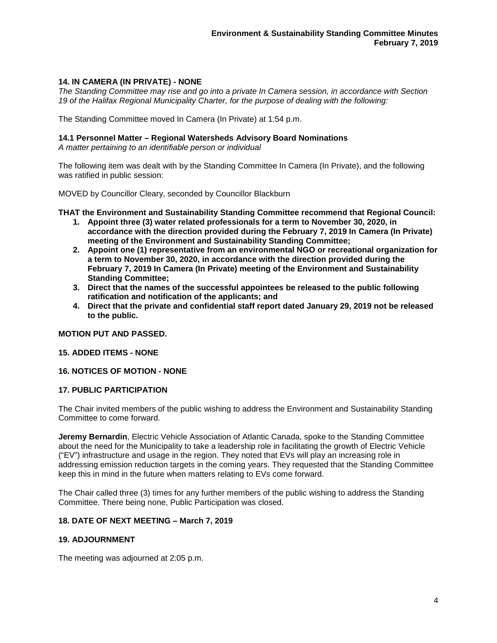## **14. IN CAMERA (IN PRIVATE) - NONE**

*The Standing Committee may rise and go into a private In Camera session, in accordance with Section 19 of the Halifax Regional Municipality Charter, for the purpose of dealing with the following:*

The Standing Committee moved In Camera (In Private) at 1:54 p.m.

#### **14.1 Personnel Matter – Regional Watersheds Advisory Board Nominations**

*A matter pertaining to an identifiable person or individual*

The following item was dealt with by the Standing Committee In Camera (In Private), and the following was ratified in public session:

MOVED by Councillor Cleary, seconded by Councillor Blackburn

**THAT the Environment and Sustainability Standing Committee recommend that Regional Council:**

- **1. Appoint three (3) water related professionals for a term to November 30, 2020, in accordance with the direction provided during the February 7, 2019 In Camera (In Private) meeting of the Environment and Sustainability Standing Committee;**
- **2. Appoint one (1) representative from an environmental NGO or recreational organization for a term to November 30, 2020, in accordance with the direction provided during the February 7, 2019 In Camera (In Private) meeting of the Environment and Sustainability Standing Committee;**
- **3. Direct that the names of the successful appointees be released to the public following ratification and notification of the applicants; and**
- **4. Direct that the private and confidential staff report dated January 29, 2019 not be released to the public.**

#### **MOTION PUT AND PASSED.**

#### **15. ADDED ITEMS - NONE**

#### **16. NOTICES OF MOTION - NONE**

#### **17. PUBLIC PARTICIPATION**

The Chair invited members of the public wishing to address the Environment and Sustainability Standing Committee to come forward.

**Jeremy Bernardin**, Electric Vehicle Association of Atlantic Canada, spoke to the Standing Committee about the need for the Municipality to take a leadership role in facilitating the growth of Electric Vehicle ("EV") infrastructure and usage in the region. They noted that EVs will play an increasing role in addressing emission reduction targets in the coming years. They requested that the Standing Committee keep this in mind in the future when matters relating to EVs come forward.

The Chair called three (3) times for any further members of the public wishing to address the Standing Committee. There being none, Public Participation was closed.

#### **18. DATE OF NEXT MEETING – March 7, 2019**

#### **19. ADJOURNMENT**

The meeting was adjourned at 2:05 p.m.